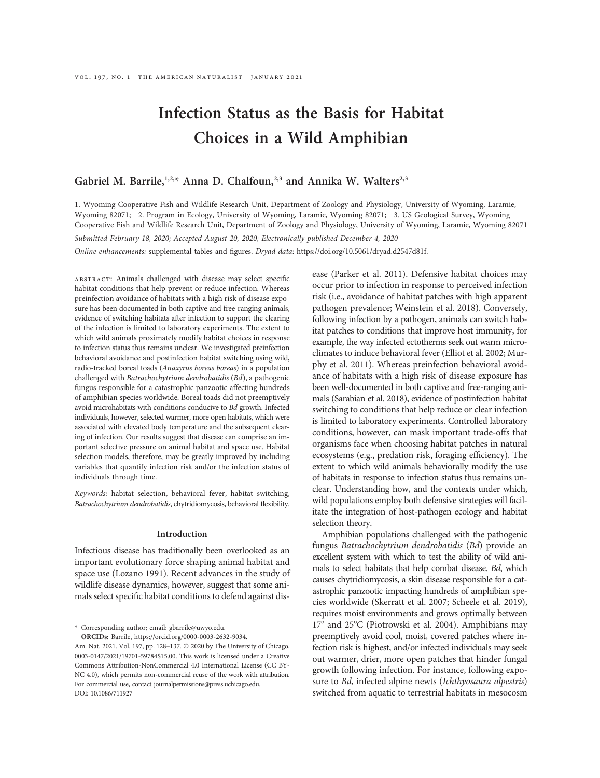# Infection Status as the Basis for Habitat Choices in a Wild Amphibian

# Gabriel M. Barrile,<sup>1,2,\*</sup> Anna D. Chalfoun,<sup>2,3</sup> and Annika W. Walters<sup>2,3</sup>

1. Wyoming Cooperative Fish and Wildlife Research Unit, Department of Zoology and Physiology, University of Wyoming, Laramie, Wyoming 82071; 2. Program in Ecology, University of Wyoming, Laramie, Wyoming 82071; 3. US Geological Survey, Wyoming Cooperative Fish and Wildlife Research Unit, Department of Zoology and Physiology, University of Wyoming, Laramie, Wyoming 82071

Submitted February 18, 2020; Accepted August 20, 2020; Electronically published December 4, 2020 Online enhancements: supplemental tables and figures. Dryad data: https://doi.org/10.5061/dryad.d2547d81f.

ABSTRACT: Animals challenged with disease may select specific habitat conditions that help prevent or reduce infection. Whereas preinfection avoidance of habitats with a high risk of disease exposure has been documented in both captive and free-ranging animals, evidence of switching habitats after infection to support the clearing of the infection is limited to laboratory experiments. The extent to which wild animals proximately modify habitat choices in response to infection status thus remains unclear. We investigated preinfection behavioral avoidance and postinfection habitat switching using wild, radio-tracked boreal toads (Anaxyrus boreas boreas) in a population challenged with Batrachochytrium dendrobatidis (Bd), a pathogenic fungus responsible for a catastrophic panzootic affecting hundreds of amphibian species worldwide. Boreal toads did not preemptively avoid microhabitats with conditions conducive to Bd growth. Infected individuals, however, selected warmer, more open habitats, which were associated with elevated body temperature and the subsequent clearing of infection. Our results suggest that disease can comprise an important selective pressure on animal habitat and space use. Habitat selection models, therefore, may be greatly improved by including variables that quantify infection risk and/or the infection status of individuals through time.

Keywords: habitat selection, behavioral fever, habitat switching, Batrachochytrium dendrobatidis, chytridiomycosis, behavioral flexibility.

#### Introduction

Infectious disease has traditionally been overlooked as an important evolutionary force shaping animal habitat and space use (Lozano 1991). Recent advances in the study of wildlife disease dynamics, however, suggest that some animals select specific habitat conditions to defend against dis-

\* Corresponding author; email: [gbarrile@uwyo.edu](mailto:gbarrile@uwyo.edu).

ORCIDs: Barrile, [https://orcid.org/0000-0003-2632-9034.](https://orcid.org/0000-0003-2632-9034)

ease (Parker et al. 2011). Defensive habitat choices may occur prior to infection in response to perceived infection risk (i.e., avoidance of habitat patches with high apparent pathogen prevalence; Weinstein et al. 2018). Conversely, following infection by a pathogen, animals can switch habitat patches to conditions that improve host immunity, for example, the way infected ectotherms seek out warm microclimates to induce behavioral fever (Elliot et al. 2002; Murphy et al. 2011). Whereas preinfection behavioral avoidance of habitats with a high risk of disease exposure has been well-documented in both captive and free-ranging animals (Sarabian et al. 2018), evidence of postinfection habitat switching to conditions that help reduce or clear infection is limited to laboratory experiments. Controlled laboratory conditions, however, can mask important trade-offs that organisms face when choosing habitat patches in natural ecosystems (e.g., predation risk, foraging efficiency). The extent to which wild animals behaviorally modify the use of habitats in response to infection status thus remains unclear. Understanding how, and the contexts under which, wild populations employ both defensive strategies will facilitate the integration of host-pathogen ecology and habitat selection theory.

Amphibian populations challenged with the pathogenic fungus Batrachochytrium dendrobatidis (Bd) provide an excellent system with which to test the ability of wild animals to select habitats that help combat disease. Bd, which causes chytridiomycosis, a skin disease responsible for a catastrophic panzootic impacting hundreds of amphibian species worldwide (Skerratt et al. 2007; Scheele et al. 2019), requires moist environments and grows optimally between 17° and 25°C (Piotrowski et al. 2004). Amphibians may preemptively avoid cool, moist, covered patches where infection risk is highest, and/or infected individuals may seek out warmer, drier, more open patches that hinder fungal growth following infection. For instance, following exposure to Bd, infected alpine newts (Ichthyosaura alpestris) switched from aquatic to terrestrial habitats in mesocosm

Am. Nat. 2021. Vol. 197, pp. 128-137.  $©$  2020 by The University of Chicago. 0003-0147/2021/19701-59784\$15.00. This work is licensed under a Creative Commons Attribution-NonCommercial 4.0 International License (CC BY-NC 4.0), which permits non-commercial reuse of the work with attribution. For commercial use, contact [journalpermissions@press.uchicago.edu.](mailto:journalpermissions@press.uchicago.edu) DOI: 10.1086/711927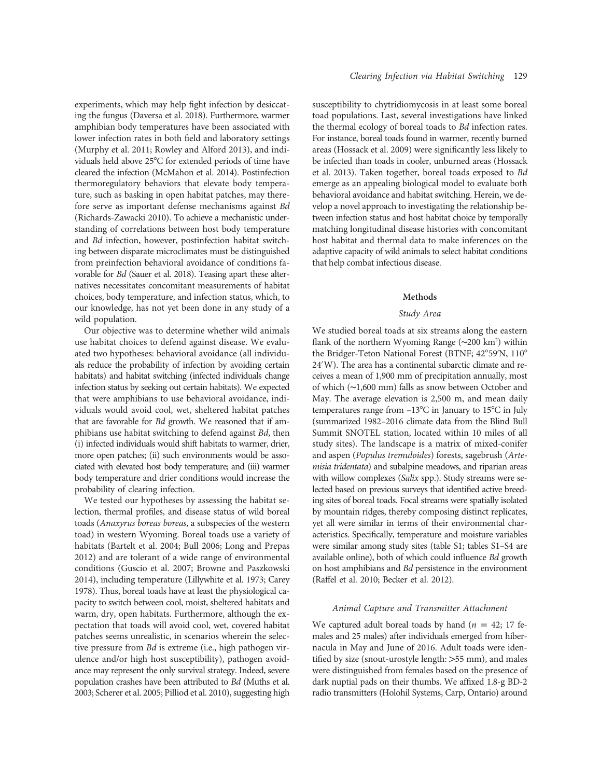experiments, which may help fight infection by desiccating the fungus (Daversa et al. 2018). Furthermore, warmer amphibian body temperatures have been associated with lower infection rates in both field and laboratory settings (Murphy et al. 2011; Rowley and Alford 2013), and individuals held above 25°C for extended periods of time have cleared the infection (McMahon et al. 2014). Postinfection thermoregulatory behaviors that elevate body temperature, such as basking in open habitat patches, may therefore serve as important defense mechanisms against Bd (Richards-Zawacki 2010). To achieve a mechanistic understanding of correlations between host body temperature and Bd infection, however, postinfection habitat switching between disparate microclimates must be distinguished from preinfection behavioral avoidance of conditions favorable for Bd (Sauer et al. 2018). Teasing apart these alternatives necessitates concomitant measurements of habitat choices, body temperature, and infection status, which, to our knowledge, has not yet been done in any study of a wild population.

Our objective was to determine whether wild animals use habitat choices to defend against disease. We evaluated two hypotheses: behavioral avoidance (all individuals reduce the probability of infection by avoiding certain habitats) and habitat switching (infected individuals change infection status by seeking out certain habitats). We expected that were amphibians to use behavioral avoidance, individuals would avoid cool, wet, sheltered habitat patches that are favorable for Bd growth. We reasoned that if amphibians use habitat switching to defend against Bd, then (i) infected individuals would shift habitats to warmer, drier, more open patches; (ii) such environments would be associated with elevated host body temperature; and (iii) warmer body temperature and drier conditions would increase the probability of clearing infection.

We tested our hypotheses by assessing the habitat selection, thermal profiles, and disease status of wild boreal toads (Anaxyrus boreas boreas, a subspecies of the western toad) in western Wyoming. Boreal toads use a variety of habitats (Bartelt et al. 2004; Bull 2006; Long and Prepas 2012) and are tolerant of a wide range of environmental conditions (Guscio et al. 2007; Browne and Paszkowski 2014), including temperature (Lillywhite et al. 1973; Carey 1978). Thus, boreal toads have at least the physiological capacity to switch between cool, moist, sheltered habitats and warm, dry, open habitats. Furthermore, although the expectation that toads will avoid cool, wet, covered habitat patches seems unrealistic, in scenarios wherein the selective pressure from Bd is extreme (i.e., high pathogen virulence and/or high host susceptibility), pathogen avoidance may represent the only survival strategy. Indeed, severe population crashes have been attributed to Bd (Muths et al. 2003; Scherer et al. 2005; Pilliod et al. 2010), suggesting high

susceptibility to chytridiomycosis in at least some boreal toad populations. Last, several investigations have linked the thermal ecology of boreal toads to Bd infection rates. For instance, boreal toads found in warmer, recently burned areas (Hossack et al. 2009) were significantly less likely to be infected than toads in cooler, unburned areas (Hossack et al. 2013). Taken together, boreal toads exposed to Bd emerge as an appealing biological model to evaluate both behavioral avoidance and habitat switching. Herein, we develop a novel approach to investigating the relationship between infection status and host habitat choice by temporally matching longitudinal disease histories with concomitant host habitat and thermal data to make inferences on the adaptive capacity of wild animals to select habitat conditions that help combat infectious disease.

# Methods

## Study Area

We studied boreal toads at six streams along the eastern flank of the northern Wyoming Range (~200 km<sup>2</sup>) within the Bridger-Teton National Forest (BTNF; 42°59'N, 110° 24'W). The area has a continental subarctic climate and receives a mean of 1,900 mm of precipitation annually, most of which (∼1,600 mm) falls as snow between October and May. The average elevation is 2,500 m, and mean daily temperatures range from  $-13^{\circ}$ C in January to  $15^{\circ}$ C in July (summarized 1982–2016 climate data from the Blind Bull Summit SNOTEL station, located within 10 miles of all study sites). The landscape is a matrix of mixed-conifer and aspen (Populus tremuloides) forests, sagebrush (Artemisia tridentata) and subalpine meadows, and riparian areas with willow complexes (Salix spp.). Study streams were selected based on previous surveys that identified active breeding sites of boreal toads. Focal streams were spatially isolated by mountain ridges, thereby composing distinct replicates, yet all were similar in terms of their environmental characteristics. Specifically, temperature and moisture variables were similar among study sites (table S1; tables S1–S4 are available online), both of which could influence Bd growth on host amphibians and Bd persistence in the environment (Raffel et al. 2010; Becker et al. 2012).

#### Animal Capture and Transmitter Attachment

We captured adult boreal toads by hand ( $n = 42$ ; 17 females and 25 males) after individuals emerged from hibernacula in May and June of 2016. Adult toads were identified by size (snout-urostyle length: >55 mm), and males were distinguished from females based on the presence of dark nuptial pads on their thumbs. We affixed 1.8-g BD-2 radio transmitters (Holohil Systems, Carp, Ontario) around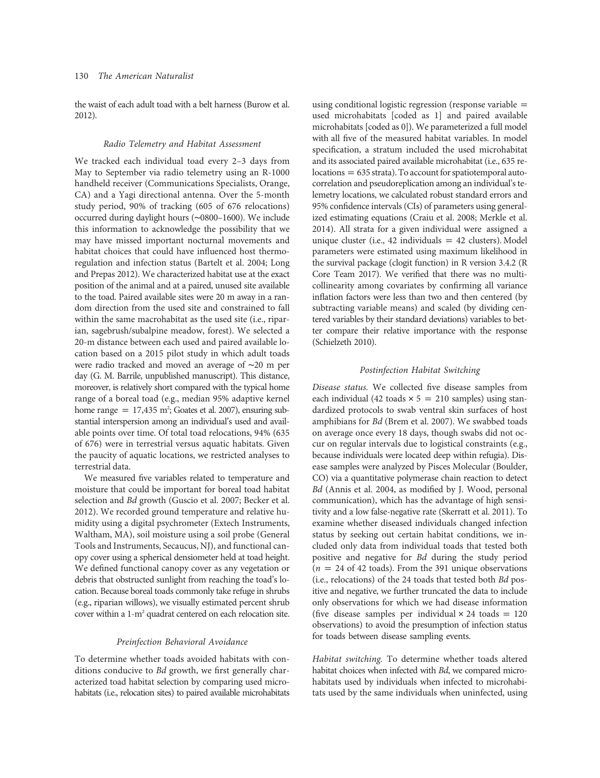the waist of each adult toad with a belt harness (Burow et al. 2012).

### Radio Telemetry and Habitat Assessment

We tracked each individual toad every 2–3 days from May to September via radio telemetry using an R-1000 handheld receiver (Communications Specialists, Orange, CA) and a Yagi directional antenna. Over the 5-month study period, 90% of tracking (605 of 676 relocations) occurred during daylight hours (∼0800–1600). We include this information to acknowledge the possibility that we may have missed important nocturnal movements and habitat choices that could have influenced host thermoregulation and infection status (Bartelt et al. 2004; Long and Prepas 2012). We characterized habitat use at the exact position of the animal and at a paired, unused site available to the toad. Paired available sites were 20 m away in a random direction from the used site and constrained to fall within the same macrohabitat as the used site (i.e., riparian, sagebrush/subalpine meadow, forest). We selected a 20-m distance between each used and paired available location based on a 2015 pilot study in which adult toads were radio tracked and moved an average of ∼20 m per day (G. M. Barrile, unpublished manuscript). This distance, moreover, is relatively short compared with the typical home range of a boreal toad (e.g., median 95% adaptive kernel home range  $= 17,435$  m<sup>2</sup>; Goates et al. 2007), ensuring substantial interspersion among an individual's used and available points over time. Of total toad relocations, 94% (635 of 676) were in terrestrial versus aquatic habitats. Given the paucity of aquatic locations, we restricted analyses to terrestrial data.

We measured five variables related to temperature and moisture that could be important for boreal toad habitat selection and Bd growth (Guscio et al. 2007; Becker et al. 2012). We recorded ground temperature and relative humidity using a digital psychrometer (Extech Instruments, Waltham, MA), soil moisture using a soil probe (General Tools and Instruments, Secaucus, NJ), and functional canopy cover using a spherical densiometer held at toad height. We defined functional canopy cover as any vegetation or debris that obstructed sunlight from reaching the toad's location. Because boreal toads commonly take refuge in shrubs (e.g., riparian willows), we visually estimated percent shrub cover within a 1-m2 quadrat centered on each relocation site.

#### Preinfection Behavioral Avoidance

To determine whether toads avoided habitats with conditions conducive to Bd growth, we first generally characterized toad habitat selection by comparing used microhabitats (i.e., relocation sites) to paired available microhabitats using conditional logistic regression (response variable  $=$ used microhabitats [coded as 1] and paired available microhabitats [coded as 0]). We parameterized a full model with all five of the measured habitat variables. In model specification, a stratum included the used microhabitat and its associated paired available microhabitat (i.e., 635 re $locations = 635$  strata). To account for spatiotemporal autocorrelation and pseudoreplication among an individual's telemetry locations, we calculated robust standard errors and 95% confidence intervals (CIs) of parameters using generalized estimating equations (Craiu et al. 2008; Merkle et al. 2014). All strata for a given individual were assigned a unique cluster (i.e., 42 individuals  $= 42$  clusters). Model parameters were estimated using maximum likelihood in the survival package (clogit function) in R version 3.4.2 (R Core Team 2017). We verified that there was no multicollinearity among covariates by confirming all variance inflation factors were less than two and then centered (by subtracting variable means) and scaled (by dividing centered variables by their standard deviations) variables to better compare their relative importance with the response (Schielzeth 2010).

# Postinfection Habitat Switching

Disease status. We collected five disease samples from each individual (42 toads  $\times$  5 = 210 samples) using standardized protocols to swab ventral skin surfaces of host amphibians for Bd (Brem et al. 2007). We swabbed toads on average once every 18 days, though swabs did not occur on regular intervals due to logistical constraints (e.g., because individuals were located deep within refugia). Disease samples were analyzed by Pisces Molecular (Boulder, CO) via a quantitative polymerase chain reaction to detect Bd (Annis et al. 2004, as modified by J. Wood, personal communication), which has the advantage of high sensitivity and a low false-negative rate (Skerratt et al. 2011). To examine whether diseased individuals changed infection status by seeking out certain habitat conditions, we included only data from individual toads that tested both positive and negative for Bd during the study period ( $n = 24$  of 42 toads). From the 391 unique observations (i.e., relocations) of the 24 toads that tested both Bd positive and negative, we further truncated the data to include only observations for which we had disease information (five disease samples per individual  $\times$  24 toads = 120 observations) to avoid the presumption of infection status for toads between disease sampling events.

Habitat switching. To determine whether toads altered habitat choices when infected with Bd, we compared microhabitats used by individuals when infected to microhabitats used by the same individuals when uninfected, using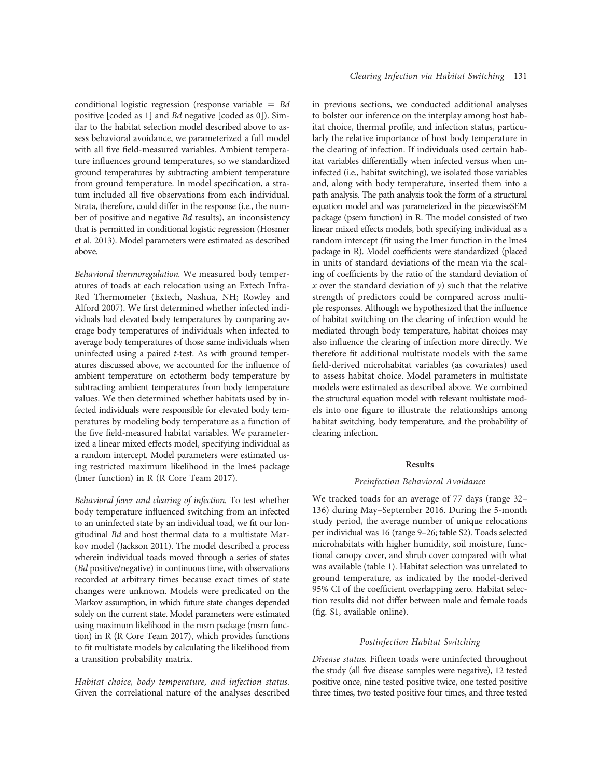conditional logistic regression (response variable  $=$  Bd positive [coded as 1] and Bd negative [coded as 0]). Similar to the habitat selection model described above to assess behavioral avoidance, we parameterized a full model with all five field-measured variables. Ambient temperature influences ground temperatures, so we standardized ground temperatures by subtracting ambient temperature from ground temperature. In model specification, a stratum included all five observations from each individual. Strata, therefore, could differ in the response (i.e., the number of positive and negative Bd results), an inconsistency that is permitted in conditional logistic regression (Hosmer et al. 2013). Model parameters were estimated as described above.

Behavioral thermoregulation. We measured body temperatures of toads at each relocation using an Extech Infra-Red Thermometer (Extech, Nashua, NH; Rowley and Alford 2007). We first determined whether infected individuals had elevated body temperatures by comparing average body temperatures of individuals when infected to average body temperatures of those same individuals when uninfected using a paired t-test. As with ground temperatures discussed above, we accounted for the influence of ambient temperature on ectotherm body temperature by subtracting ambient temperatures from body temperature values. We then determined whether habitats used by infected individuals were responsible for elevated body temperatures by modeling body temperature as a function of the five field-measured habitat variables. We parameterized a linear mixed effects model, specifying individual as a random intercept. Model parameters were estimated using restricted maximum likelihood in the lme4 package (lmer function) in R (R Core Team 2017).

Behavioral fever and clearing of infection. To test whether body temperature influenced switching from an infected to an uninfected state by an individual toad, we fit our longitudinal Bd and host thermal data to a multistate Markov model (Jackson 2011). The model described a process wherein individual toads moved through a series of states (Bd positive/negative) in continuous time, with observations recorded at arbitrary times because exact times of state changes were unknown. Models were predicated on the Markov assumption, in which future state changes depended solely on the current state. Model parameters were estimated using maximum likelihood in the msm package (msm function) in R (R Core Team 2017), which provides functions to fit multistate models by calculating the likelihood from a transition probability matrix.

Habitat choice, body temperature, and infection status. Given the correlational nature of the analyses described in previous sections, we conducted additional analyses to bolster our inference on the interplay among host habitat choice, thermal profile, and infection status, particularly the relative importance of host body temperature in the clearing of infection. If individuals used certain habitat variables differentially when infected versus when uninfected (i.e., habitat switching), we isolated those variables and, along with body temperature, inserted them into a path analysis. The path analysis took the form of a structural equation model and was parameterized in the piecewiseSEM package (psem function) in R. The model consisted of two linear mixed effects models, both specifying individual as a random intercept (fit using the lmer function in the lme4 package in R). Model coefficients were standardized (placed in units of standard deviations of the mean via the scaling of coefficients by the ratio of the standard deviation of x over the standard deviation of  $y$ ) such that the relative strength of predictors could be compared across multiple responses. Although we hypothesized that the influence of habitat switching on the clearing of infection would be mediated through body temperature, habitat choices may also influence the clearing of infection more directly. We therefore fit additional multistate models with the same field-derived microhabitat variables (as covariates) used to assess habitat choice. Model parameters in multistate models were estimated as described above. We combined the structural equation model with relevant multistate models into one figure to illustrate the relationships among habitat switching, body temperature, and the probability of clearing infection.

# Results

#### Preinfection Behavioral Avoidance

We tracked toads for an average of 77 days (range 32– 136) during May–September 2016. During the 5-month study period, the average number of unique relocations per individual was 16 (range 9–26; table S2). Toads selected microhabitats with higher humidity, soil moisture, functional canopy cover, and shrub cover compared with what was available (table 1). Habitat selection was unrelated to ground temperature, as indicated by the model-derived 95% CI of the coefficient overlapping zero. Habitat selection results did not differ between male and female toads (fig. S1, available online).

# Postinfection Habitat Switching

Disease status. Fifteen toads were uninfected throughout the study (all five disease samples were negative), 12 tested positive once, nine tested positive twice, one tested positive three times, two tested positive four times, and three tested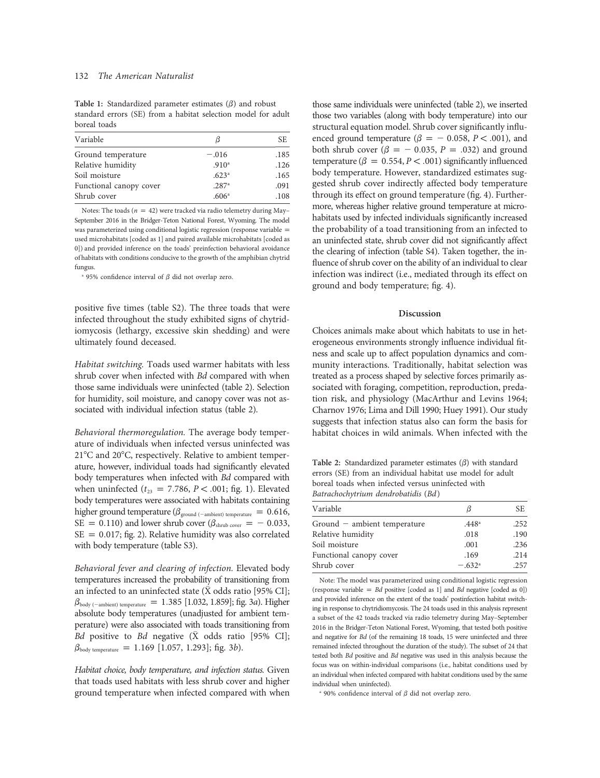# 132 The American Naturalist

Table 1: Standardized parameter estimates  $(\beta)$  and robust standard errors (SE) from a habitat selection model for adult boreal toads

| Variable                |                   | SE.  |
|-------------------------|-------------------|------|
| Ground temperature      | $-.016$           | .185 |
| Relative humidity       | .910 <sup>a</sup> | .126 |
| Soil moisture           | .623 <sup>a</sup> | .165 |
| Functional canopy cover | .287a             | .091 |
| Shrub cover             | .606 <sup>a</sup> | .108 |

Notes: The toads ( $n = 42$ ) were tracked via radio telemetry during May– September 2016 in the Bridger-Teton National Forest, Wyoming. The model was parameterized using conditional logistic regression (response variable = used microhabitats [coded as 1] and paired available microhabitats [coded as 0]) and provided inference on the toads' preinfection behavioral avoidance of habitats with conditions conducive to the growth of the amphibian chytrid fungus.

<sup>a</sup> 95% confidence interval of  $\beta$  did not overlap zero.

positive five times (table S2). The three toads that were infected throughout the study exhibited signs of chytridiomycosis (lethargy, excessive skin shedding) and were ultimately found deceased.

Habitat switching. Toads used warmer habitats with less shrub cover when infected with Bd compared with when those same individuals were uninfected (table 2). Selection for humidity, soil moisture, and canopy cover was not associated with individual infection status (table 2).

Behavioral thermoregulation. The average body temperature of individuals when infected versus uninfected was 21°C and 20°C, respectively. Relative to ambient temperature, however, individual toads had significantly elevated body temperatures when infected with Bd compared with when uninfected ( $t_{23}$  = 7.786, P < .001; fig. 1). Elevated body temperatures were associated with habitats containing higher ground temperature ( $\beta_{\rm ground \; (-ambient) \; temperature} = 0.616,$  $SE = 0.110$ ) and lower shrub cover ( $\beta_{\text{shrub cover}} = -0.033$ ,  $SE = 0.017$ ; fig. 2). Relative humidity was also correlated with body temperature (table S3).

Behavioral fever and clearing of infection. Elevated body temperatures increased the probability of transitioning from an infected to an uninfected state ( $\bar{X}$  odds ratio [95% CI];  $\beta_{\text{body (-ambient) temperature}} = 1.385 [1.032, 1.859];$  fig. 3a). Higher absolute body temperatures (unadjusted for ambient temperature) were also associated with toads transitioning from Bd positive to Bd negative  $(\bar{X}$  odds ratio [95% CI];  $\beta_{\text{body temperature}} = 1.169$  [1.057, 1.293]; fig. 3b).

Habitat choice, body temperature, and infection status. Given that toads used habitats with less shrub cover and higher ground temperature when infected compared with when those same individuals were uninfected (table 2), we inserted those two variables (along with body temperature) into our structural equation model. Shrub cover significantly influenced ground temperature ( $\beta = -0.058$ ,  $P < .001$ ), and both shrub cover ( $\beta = -0.035$ ,  $P = .032$ ) and ground temperature ( $\beta = 0.554, P < .001$ ) significantly influenced body temperature. However, standardized estimates suggested shrub cover indirectly affected body temperature through its effect on ground temperature (fig. 4). Furthermore, whereas higher relative ground temperature at microhabitats used by infected individuals significantly increased the probability of a toad transitioning from an infected to an uninfected state, shrub cover did not significantly affect the clearing of infection (table S4). Taken together, the influence of shrub cover on the ability of an individual to clear infection was indirect (i.e., mediated through its effect on ground and body temperature; fig. 4).

### Discussion

Choices animals make about which habitats to use in heterogeneous environments strongly influence individual fitness and scale up to affect population dynamics and community interactions. Traditionally, habitat selection was treated as a process shaped by selective forces primarily associated with foraging, competition, reproduction, predation risk, and physiology (MacArthur and Levins 1964; Charnov 1976; Lima and Dill 1990; Huey 1991). Our study suggests that infection status also can form the basis for habitat choices in wild animals. When infected with the

Table 2: Standardized parameter estimates  $(\beta)$  with standard errors (SE) from an individual habitat use model for adult boreal toads when infected versus uninfected with Batrachochytrium dendrobatidis (Bd)

| Variable                     | ß                 | SE.  |
|------------------------------|-------------------|------|
| Ground - ambient temperature | .448 <sup>a</sup> | .252 |
| Relative humidity            | .018              | .190 |
| Soil moisture                | .001              | .236 |
| Functional canopy cover      | .169              | .214 |
| Shrub cover                  | $-.632a$          | .257 |

Note: The model was parameterized using conditional logistic regression (response variable =  $Bd$  positive [coded as 1] and  $Bd$  negative [coded as 0]) and provided inference on the extent of the toads' postinfection habitat switching in response to chytridiomycosis. The 24 toads used in this analysis represent a subset of the 42 toads tracked via radio telemetry during May–September 2016 in the Bridger-Teton National Forest, Wyoming, that tested both positive and negative for Bd (of the remaining 18 toads, 15 were uninfected and three remained infected throughout the duration of the study). The subset of 24 that tested both Bd positive and Bd negative was used in this analysis because the focus was on within-individual comparisons (i.e., habitat conditions used by an individual when infected compared with habitat conditions used by the same individual when uninfected).

<sup>a</sup> 90% confidence interval of  $\beta$  did not overlap zero.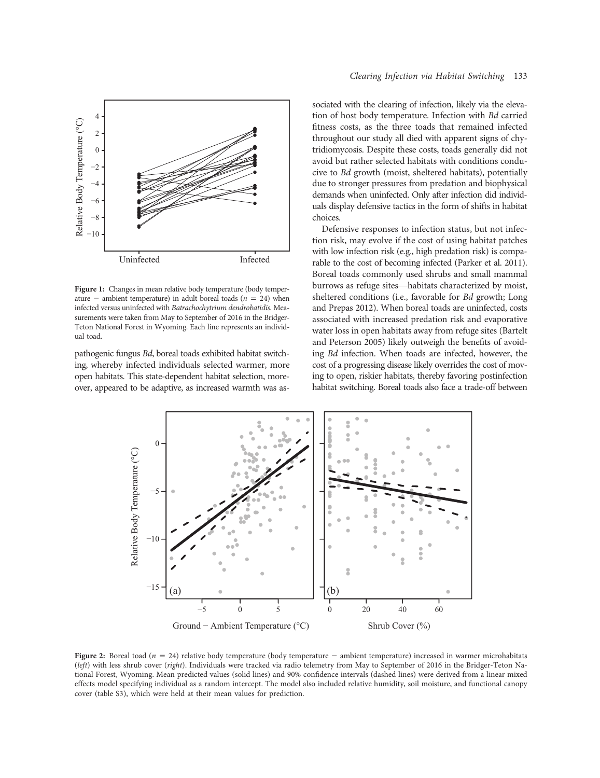

Figure 1: Changes in mean relative body temperature (body temperature – ambient temperature) in adult boreal toads ( $n = 24$ ) when infected versus uninfected with Batrachochytrium dendrobatidis. Measurements were taken from May to September of 2016 in the Bridger-Teton National Forest in Wyoming. Each line represents an individual toad.

pathogenic fungus Bd, boreal toads exhibited habitat switching, whereby infected individuals selected warmer, more open habitats. This state-dependent habitat selection, moreover, appeared to be adaptive, as increased warmth was associated with the clearing of infection, likely via the elevation of host body temperature. Infection with Bd carried fitness costs, as the three toads that remained infected throughout our study all died with apparent signs of chytridiomycosis. Despite these costs, toads generally did not avoid but rather selected habitats with conditions conducive to Bd growth (moist, sheltered habitats), potentially due to stronger pressures from predation and biophysical demands when uninfected. Only after infection did individuals display defensive tactics in the form of shifts in habitat choices.

Defensive responses to infection status, but not infection risk, may evolve if the cost of using habitat patches with low infection risk (e.g., high predation risk) is comparable to the cost of becoming infected (Parker et al. 2011). Boreal toads commonly used shrubs and small mammal burrows as refuge sites—habitats characterized by moist, sheltered conditions (i.e., favorable for Bd growth; Long and Prepas 2012). When boreal toads are uninfected, costs associated with increased predation risk and evaporative water loss in open habitats away from refuge sites (Bartelt and Peterson 2005) likely outweigh the benefits of avoiding Bd infection. When toads are infected, however, the cost of a progressing disease likely overrides the cost of moving to open, riskier habitats, thereby favoring postinfection habitat switching. Boreal toads also face a trade-off between



Figure 2: Boreal toad ( $n = 24$ ) relative body temperature (body temperature – ambient temperature) increased in warmer microhabitats (left) with less shrub cover (right). Individuals were tracked via radio telemetry from May to September of 2016 in the Bridger-Teton National Forest, Wyoming. Mean predicted values (solid lines) and 90% confidence intervals (dashed lines) were derived from a linear mixed effects model specifying individual as a random intercept. The model also included relative humidity, soil moisture, and functional canopy cover (table S3), which were held at their mean values for prediction.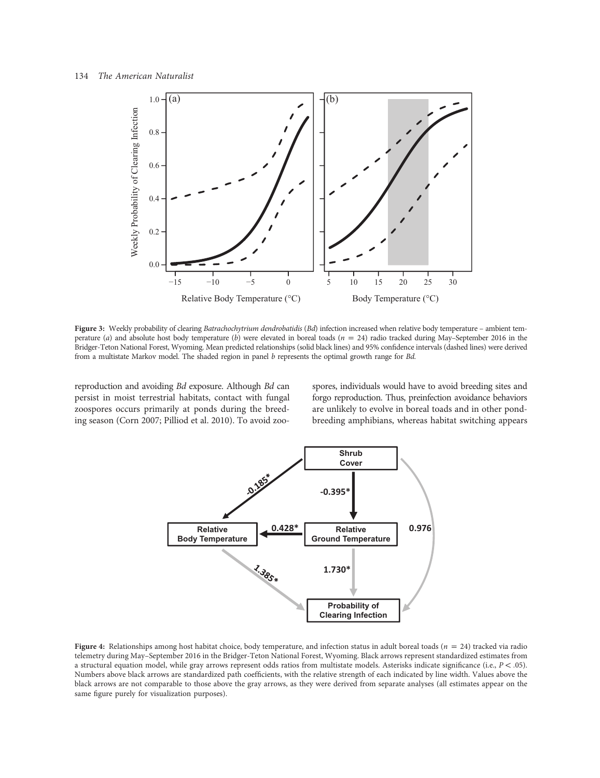

Figure 3: Weekly probability of clearing Batrachochytrium dendrobatidis (Bd) infection increased when relative body temperature - ambient temperature (a) and absolute host body temperature (b) were elevated in boreal toads ( $n = 24$ ) radio tracked during May–September 2016 in the Bridger-Teton National Forest, Wyoming. Mean predicted relationships (solid black lines) and 95% confidence intervals (dashed lines) were derived from a multistate Markov model. The shaded region in panel b represents the optimal growth range for Bd.

reproduction and avoiding Bd exposure. Although Bd can persist in moist terrestrial habitats, contact with fungal zoospores occurs primarily at ponds during the breeding season (Corn 2007; Pilliod et al. 2010). To avoid zoospores, individuals would have to avoid breeding sites and forgo reproduction. Thus, preinfection avoidance behaviors are unlikely to evolve in boreal toads and in other pondbreeding amphibians, whereas habitat switching appears



Figure 4: Relationships among host habitat choice, body temperature, and infection status in adult boreal toads ( $n = 24$ ) tracked via radio telemetry during May–September 2016 in the Bridger-Teton National Forest, Wyoming. Black arrows represent standardized estimates from a structural equation model, while gray arrows represent odds ratios from multistate models. Asterisks indicate significance (i.e.,  $P < .05$ ). Numbers above black arrows are standardized path coefficients, with the relative strength of each indicated by line width. Values above the black arrows are not comparable to those above the gray arrows, as they were derived from separate analyses (all estimates appear on the same figure purely for visualization purposes).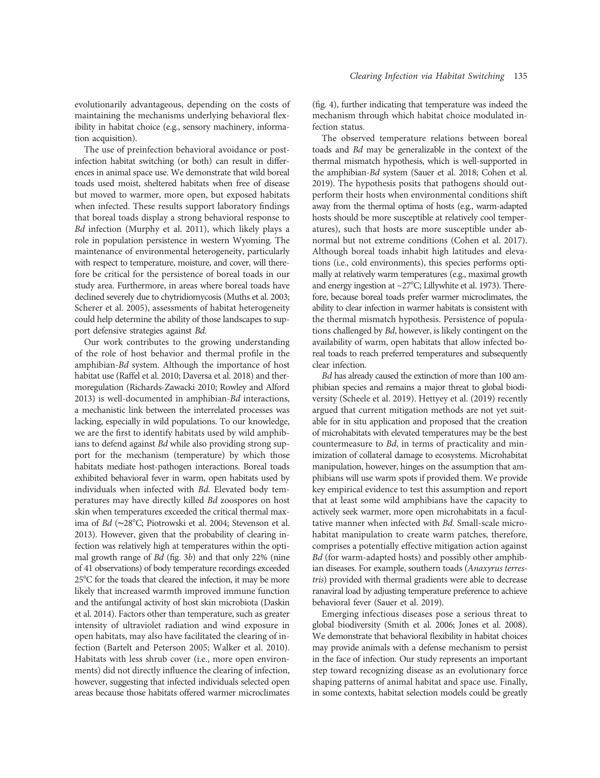evolutionarily advantageous, depending on the costs of maintaining the mechanisms underlying behavioral flexibility in habitat choice (e.g., sensory machinery, information acquisition).

The use of preinfection behavioral avoidance or postinfection habitat switching (or both) can result in differences in animal space use. We demonstrate that wild boreal toads used moist, sheltered habitats when free of disease but moved to warmer, more open, but exposed habitats when infected. These results support laboratory findings that boreal toads display a strong behavioral response to Bd infection (Murphy et al. 2011), which likely plays a role in population persistence in western Wyoming. The maintenance of environmental heterogeneity, particularly with respect to temperature, moisture, and cover, will therefore be critical for the persistence of boreal toads in our study area. Furthermore, in areas where boreal toads have declined severely due to chytridiomycosis (Muths et al. 2003; Scherer et al. 2005), assessments of habitat heterogeneity could help determine the ability of those landscapes to support defensive strategies against Bd.

Our work contributes to the growing understanding of the role of host behavior and thermal profile in the amphibian-Bd system. Although the importance of host habitat use (Raffel et al. 2010; Daversa et al. 2018) and thermoregulation (Richards-Zawacki 2010; Rowley and Alford 2013) is well-documented in amphibian-Bd interactions, a mechanistic link between the interrelated processes was lacking, especially in wild populations. To our knowledge, we are the first to identify habitats used by wild amphibians to defend against Bd while also providing strong support for the mechanism (temperature) by which those habitats mediate host-pathogen interactions. Boreal toads exhibited behavioral fever in warm, open habitats used by individuals when infected with Bd. Elevated body temperatures may have directly killed Bd zoospores on host skin when temperatures exceeded the critical thermal maxima of Bd (∼287C; Piotrowski et al. 2004; Stevenson et al. 2013). However, given that the probability of clearing infection was relatively high at temperatures within the optimal growth range of Bd (fig. 3b) and that only 22% (nine of 41 observations) of body temperature recordings exceeded 25°C for the toads that cleared the infection, it may be more likely that increased warmth improved immune function and the antifungal activity of host skin microbiota (Daskin et al. 2014). Factors other than temperature, such as greater intensity of ultraviolet radiation and wind exposure in open habitats, may also have facilitated the clearing of infection (Bartelt and Peterson 2005; Walker et al. 2010). Habitats with less shrub cover (i.e., more open environments) did not directly influence the clearing of infection, however, suggesting that infected individuals selected open areas because those habitats offered warmer microclimates

(fig. 4), further indicating that temperature was indeed the mechanism through which habitat choice modulated infection status.

The observed temperature relations between boreal toads and Bd may be generalizable in the context of the thermal mismatch hypothesis, which is well-supported in the amphibian-Bd system (Sauer et al. 2018; Cohen et al. 2019). The hypothesis posits that pathogens should outperform their hosts when environmental conditions shift away from the thermal optima of hosts (e.g., warm-adapted hosts should be more susceptible at relatively cool temperatures), such that hosts are more susceptible under abnormal but not extreme conditions (Cohen et al. 2017). Although boreal toads inhabit high latitudes and elevations (i.e., cold environments), this species performs optimally at relatively warm temperatures (e.g., maximal growth and energy ingestion at  $\sim$ 27°C; Lillywhite et al. 1973). Therefore, because boreal toads prefer warmer microclimates, the ability to clear infection in warmer habitats is consistent with the thermal mismatch hypothesis. Persistence of populations challenged by Bd, however, is likely contingent on the availability of warm, open habitats that allow infected boreal toads to reach preferred temperatures and subsequently clear infection.

Bd has already caused the extinction of more than 100 amphibian species and remains a major threat to global biodiversity (Scheele et al. 2019). Hettyey et al. (2019) recently argued that current mitigation methods are not yet suitable for in situ application and proposed that the creation of microhabitats with elevated temperatures may be the best countermeasure to Bd, in terms of practicality and minimization of collateral damage to ecosystems. Microhabitat manipulation, however, hinges on the assumption that amphibians will use warm spots if provided them. We provide key empirical evidence to test this assumption and report that at least some wild amphibians have the capacity to actively seek warmer, more open microhabitats in a facultative manner when infected with Bd. Small-scale microhabitat manipulation to create warm patches, therefore, comprises a potentially effective mitigation action against Bd (for warm-adapted hosts) and possibly other amphibian diseases. For example, southern toads (Anaxyrus terrestris) provided with thermal gradients were able to decrease ranaviral load by adjusting temperature preference to achieve behavioral fever (Sauer et al. 2019).

Emerging infectious diseases pose a serious threat to global biodiversity (Smith et al. 2006; Jones et al. 2008). We demonstrate that behavioral flexibility in habitat choices may provide animals with a defense mechanism to persist in the face of infection. Our study represents an important step toward recognizing disease as an evolutionary force shaping patterns of animal habitat and space use. Finally, in some contexts, habitat selection models could be greatly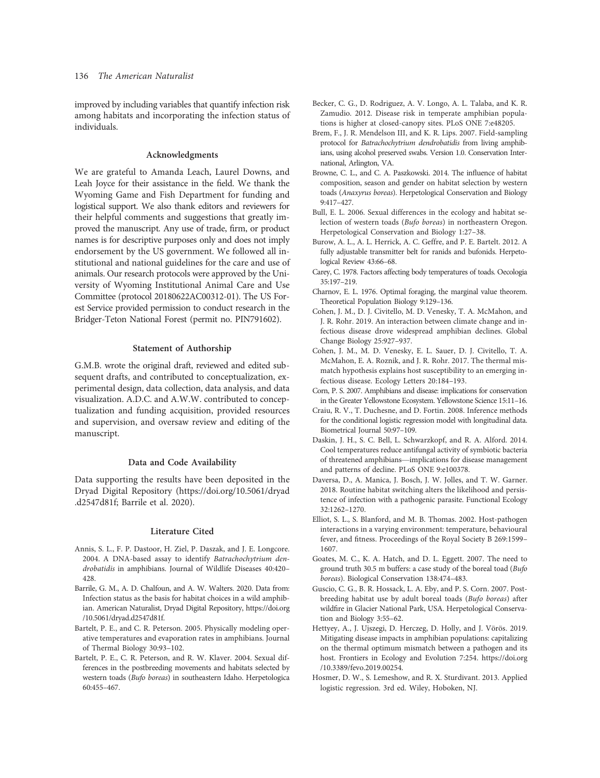improved by including variables that quantify infection risk among habitats and incorporating the infection status of individuals.

# Acknowledgments

We are grateful to Amanda Leach, Laurel Downs, and Leah Joyce for their assistance in the field. We thank the Wyoming Game and Fish Department for funding and logistical support. We also thank editors and reviewers for their helpful comments and suggestions that greatly improved the manuscript. Any use of trade, firm, or product names is for descriptive purposes only and does not imply endorsement by the US government. We followed all institutional and national guidelines for the care and use of animals. Our research protocols were approved by the University of Wyoming Institutional Animal Care and Use Committee (protocol 20180622AC00312-01). The US Forest Service provided permission to conduct research in the Bridger-Teton National Forest (permit no. PIN791602).

# Statement of Authorship

G.M.B. wrote the original draft, reviewed and edited subsequent drafts, and contributed to conceptualization, experimental design, data collection, data analysis, and data visualization. A.D.C. and A.W.W. contributed to conceptualization and funding acquisition, provided resources and supervision, and oversaw review and editing of the manuscript.

#### Data and Code Availability

Data supporting the results have been deposited in the Dryad Digital Repository ([https://doi.org/10.5061/dryad](https://doi.org/10.5061/dryad.d2547d81f) [.d2547d81f](https://doi.org/10.5061/dryad.d2547d81f); Barrile et al. 2020).

### Literature Cited

- Annis, S. L., F. P. Dastoor, H. Ziel, P. Daszak, and J. E. Longcore. 2004. A DNA-based assay to identify Batrachochytrium dendrobatidis in amphibians. Journal of Wildlife Diseases 40:420– 428.
- Barrile, G. M., A. D. Chalfoun, and A. W. Walters. 2020. Data from: Infection status as the basis for habitat choices in a wild amphibian. American Naturalist, Dryad Digital Repository, [https://doi.org](https://doi.org/10.5061/dryad.d2547d81f) [/10.5061/dryad.d2547d81f](https://doi.org/10.5061/dryad.d2547d81f).
- Bartelt, P. E., and C. R. Peterson. 2005. Physically modeling operative temperatures and evaporation rates in amphibians. Journal of Thermal Biology 30:93–102.
- Bartelt, P. E., C. R. Peterson, and R. W. Klaver. 2004. Sexual differences in the postbreeding movements and habitats selected by western toads (Bufo boreas) in southeastern Idaho. Herpetologica 60:455–467.
- Becker, C. G., D. Rodriguez, A. V. Longo, A. L. Talaba, and K. R. Zamudio. 2012. Disease risk in temperate amphibian populations is higher at closed-canopy sites. PLoS ONE 7:e48205.
- Brem, F., J. R. Mendelson III, and K. R. Lips. 2007. Field-sampling protocol for Batrachochytrium dendrobatidis from living amphibians, using alcohol preserved swabs. Version 1.0. Conservation International, Arlington, VA.
- Browne, C. L., and C. A. Paszkowski. 2014. The influence of habitat composition, season and gender on habitat selection by western toads (Anaxyrus boreas). Herpetological Conservation and Biology 9:417–427.
- Bull, E. L. 2006. Sexual differences in the ecology and habitat selection of western toads (Bufo boreas) in northeastern Oregon. Herpetological Conservation and Biology 1:27–38.
- Burow, A. L., A. L. Herrick, A. C. Geffre, and P. E. Bartelt. 2012. A fully adjustable transmitter belt for ranids and bufonids. Herpetological Review 43:66–68.
- Carey, C. 1978. Factors affecting body temperatures of toads. Oecologia 35:197–219.
- Charnov, E. L. 1976. Optimal foraging, the marginal value theorem. Theoretical Population Biology 9:129–136.
- Cohen, J. M., D. J. Civitello, M. D. Venesky, T. A. McMahon, and J. R. Rohr. 2019. An interaction between climate change and infectious disease drove widespread amphibian declines. Global Change Biology 25:927–937.
- Cohen, J. M., M. D. Venesky, E. L. Sauer, D. J. Civitello, T. A. McMahon, E. A. Roznik, and J. R. Rohr. 2017. The thermal mismatch hypothesis explains host susceptibility to an emerging infectious disease. Ecology Letters 20:184–193.
- Corn, P. S. 2007. Amphibians and disease: implications for conservation in the Greater Yellowstone Ecosystem. Yellowstone Science 15:11–16.
- Craiu, R. V., T. Duchesne, and D. Fortin. 2008. Inference methods for the conditional logistic regression model with longitudinal data. Biometrical Journal 50:97–109.
- Daskin, J. H., S. C. Bell, L. Schwarzkopf, and R. A. Alford. 2014. Cool temperatures reduce antifungal activity of symbiotic bacteria of threatened amphibians—implications for disease management and patterns of decline. PLoS ONE 9:e100378.
- Daversa, D., A. Manica, J. Bosch, J. W. Jolles, and T. W. Garner. 2018. Routine habitat switching alters the likelihood and persistence of infection with a pathogenic parasite. Functional Ecology 32:1262–1270.
- Elliot, S. L., S. Blanford, and M. B. Thomas. 2002. Host-pathogen interactions in a varying environment: temperature, behavioural fever, and fitness. Proceedings of the Royal Society B 269:1599– 1607.
- Goates, M. C., K. A. Hatch, and D. L. Eggett. 2007. The need to ground truth 30.5 m buffers: a case study of the boreal toad (Bufo boreas). Biological Conservation 138:474–483.
- Guscio, C. G., B. R. Hossack, L. A. Eby, and P. S. Corn. 2007. Postbreeding habitat use by adult boreal toads (Bufo boreas) after wildfire in Glacier National Park, USA. Herpetological Conservation and Biology 3:55–62.
- Hettyey, A., J. Ujszegi, D. Herczeg, D. Holly, and J. Vörös. 2019. Mitigating disease impacts in amphibian populations: capitalizing on the thermal optimum mismatch between a pathogen and its host. Frontiers in Ecology and Evolution 7:254. [https://doi.org](https://doi.org/10.3389/fevo.2019.00254) [/10.3389/fevo.2019.00254.](https://doi.org/10.3389/fevo.2019.00254)
- Hosmer, D. W., S. Lemeshow, and R. X. Sturdivant. 2013. Applied logistic regression. 3rd ed. Wiley, Hoboken, NJ.